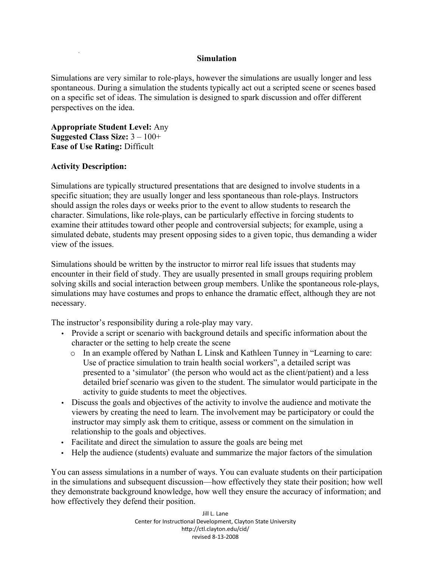## **Simulation**

Simulations are very similar to role-plays, however the simulations are usually longer and less spontaneous. During a simulation the students typically act out a scripted scene or scenes based on a specific set of ideas. The simulation is designed to spark discussion and offer different perspectives on the idea.

**Appropriate Student Level:** Any **Suggested Class Size:** 3 – 100+ **Ease of Use Rating:** Difficult

## **Activity Description:**

Simulations are typically structured presentations that are designed to involve students in a specific situation; they are usually longer and less spontaneous than role-plays. Instructors should assign the roles days or weeks prior to the event to allow students to research the character. Simulations, like role-plays, can be particularly effective in forcing students to examine their attitudes toward other people and controversial subjects; for example, using a simulated debate, students may present opposing sides to a given topic, thus demanding a wider view of the issues.

Simulations should be written by the instructor to mirror real life issues that students may encounter in their field of study. They are usually presented in small groups requiring problem solving skills and social interaction between group members. Unlike the spontaneous role-plays, simulations may have costumes and props to enhance the dramatic effect, although they are not necessary.

The instructor's responsibility during a role-play may vary.

- Provide a script or scenario with background details and specific information about the character or the setting to help create the scene
	- o In an example offered by Nathan L Linsk and Kathleen Tunney in "Learning to care: Use of practice simulation to train health social workers", a detailed script was presented to a 'simulator' (the person who would act as the client/patient) and a less detailed brief scenario was given to the student. The simulator would participate in the activity to guide students to meet the objectives.
- Discuss the goals and objectives of the activity to involve the audience and motivate the viewers by creating the need to learn. The involvement may be participatory or could the instructor may simply ask them to critique, assess or comment on the simulation in relationship to the goals and objectives.
- Facilitate and direct the simulation to assure the goals are being met
- Help the audience (students) evaluate and summarize the major factors of the simulation

You can assess simulations in a number of ways. You can evaluate students on their participation in the simulations and subsequent discussion—how effectively they state their position; how well they demonstrate background knowledge, how well they ensure the accuracy of information; and how effectively they defend their position.